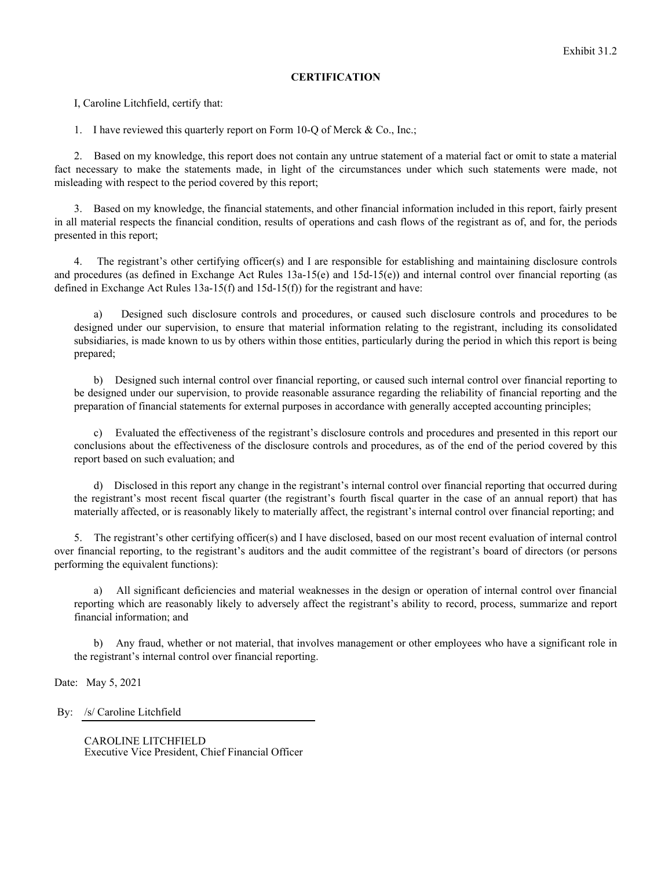## **CERTIFICATION**

I, Caroline Litchfield, certify that:

1. I have reviewed this quarterly report on Form 10-Q of Merck & Co., Inc.;

2. Based on my knowledge, this report does not contain any untrue statement of a material fact or omit to state a material fact necessary to make the statements made, in light of the circumstances under which such statements were made, not misleading with respect to the period covered by this report;

3. Based on my knowledge, the financial statements, and other financial information included in this report, fairly present in all material respects the financial condition, results of operations and cash flows of the registrant as of, and for, the periods presented in this report;

4. The registrant's other certifying officer(s) and I are responsible for establishing and maintaining disclosure controls and procedures (as defined in Exchange Act Rules  $13a-15(e)$  and  $15d-15(e)$ ) and internal control over financial reporting (as defined in Exchange Act Rules 13a-15(f) and 15d-15(f)) for the registrant and have:

a) Designed such disclosure controls and procedures, or caused such disclosure controls and procedures to be designed under our supervision, to ensure that material information relating to the registrant, including its consolidated subsidiaries, is made known to us by others within those entities, particularly during the period in which this report is being prepared;

b) Designed such internal control over financial reporting, or caused such internal control over financial reporting to be designed under our supervision, to provide reasonable assurance regarding the reliability of financial reporting and the preparation of financial statements for external purposes in accordance with generally accepted accounting principles;

c) Evaluated the effectiveness of the registrant's disclosure controls and procedures and presented in this report our conclusions about the effectiveness of the disclosure controls and procedures, as of the end of the period covered by this report based on such evaluation; and

d) Disclosed in this report any change in the registrant's internal control over financial reporting that occurred during the registrant's most recent fiscal quarter (the registrant's fourth fiscal quarter in the case of an annual report) that has materially affected, or is reasonably likely to materially affect, the registrant's internal control over financial reporting; and

5. The registrant's other certifying officer(s) and I have disclosed, based on our most recent evaluation of internal control over financial reporting, to the registrant's auditors and the audit committee of the registrant's board of directors (or persons performing the equivalent functions):

a) All significant deficiencies and material weaknesses in the design or operation of internal control over financial reporting which are reasonably likely to adversely affect the registrant's ability to record, process, summarize and report financial information; and

b) Any fraud, whether or not material, that involves management or other employees who have a significant role in the registrant's internal control over financial reporting.

Date: May 5, 2021

By: /s/ Caroline Litchfield

CAROLINE LITCHFIELD Executive Vice President, Chief Financial Officer